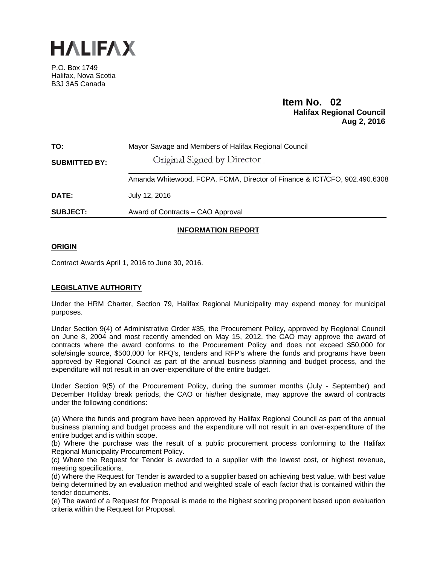

P.O. Box 1749 Halifax, Nova Scotia B3J 3A5 Canada

# **Item No. 02**<br>**Halifax Regional Council Aug 2, 2016**

| TO:                  | Mayor Savage and Members of Halifax Regional Council                      |
|----------------------|---------------------------------------------------------------------------|
| <b>SUBMITTED BY:</b> | Original Signed by Director                                               |
|                      | Amanda Whitewood, FCPA, FCMA, Director of Finance & ICT/CFO, 902.490.6308 |
| DATE:                | July 12, 2016                                                             |
| <b>SUBJECT:</b>      | Award of Contracts – CAO Approval                                         |
|                      |                                                                           |

# **INFORMATION REPORT**

# **ORIGIN**

Contract Awards April 1, 2016 to June 30, 2016.

## **LEGISLATIVE AUTHORITY**

Under the HRM Charter, Section 79, Halifax Regional Municipality may expend money for municipal purposes.

Under Section 9(4) of Administrative Order #35, the Procurement Policy, approved by Regional Council on June 8, 2004 and most recently amended on May 15, 2012, the CAO may approve the award of contracts where the award conforms to the Procurement Policy and does not exceed \$50,000 for sole/single source, \$500,000 for RFQ's, tenders and RFP's where the funds and programs have been approved by Regional Council as part of the annual business planning and budget process, and the expenditure will not result in an over-expenditure of the entire budget.

Under Section 9(5) of the Procurement Policy, during the summer months (July - September) and December Holiday break periods, the CAO or his/her designate, may approve the award of contracts under the following conditions:

(a) Where the funds and program have been approved by Halifax Regional Council as part of the annual business planning and budget process and the expenditure will not result in an over-expenditure of the entire budget and is within scope.

(b) Where the purchase was the result of a public procurement process conforming to the Halifax Regional Municipality Procurement Policy.

(c) Where the Request for Tender is awarded to a supplier with the lowest cost, or highest revenue, meeting specifications.

(d) Where the Request for Tender is awarded to a supplier based on achieving best value, with best value being determined by an evaluation method and weighted scale of each factor that is contained within the tender documents.

(e) The award of a Request for Proposal is made to the highest scoring proponent based upon evaluation criteria within the Request for Proposal.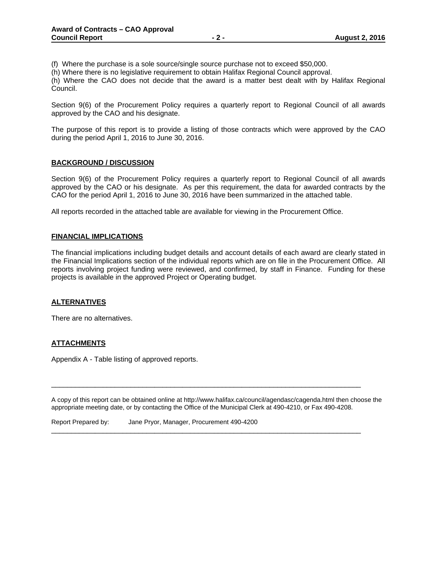(f) Where the purchase is a sole source/single source purchase not to exceed \$50,000.

(h) Where there is no legislative requirement to obtain Halifax Regional Council approval.

(h) Where the CAO does not decide that the award is a matter best dealt with by Halifax Regional Council.

Section 9(6) of the Procurement Policy requires a quarterly report to Regional Council of all awards approved by the CAO and his designate.

The purpose of this report is to provide a listing of those contracts which were approved by the CAO during the period April 1, 2016 to June 30, 2016.

#### **BACKGROUND / DISCUSSION**

Section 9(6) of the Procurement Policy requires a quarterly report to Regional Council of all awards approved by the CAO or his designate. As per this requirement, the data for awarded contracts by the CAO for the period April 1, 2016 to June 30, 2016 have been summarized in the attached table.

All reports recorded in the attached table are available for viewing in the Procurement Office.

#### **FINANCIAL IMPLICATIONS**

The financial implications including budget details and account details of each award are clearly stated in the Financial Implications section of the individual reports which are on file in the Procurement Office. All reports involving project funding were reviewed, and confirmed, by staff in Finance. Funding for these projects is available in the approved Project or Operating budget.

#### **ALTERNATIVES**

There are no alternatives.

## **ATTACHMENTS**

Appendix A - Table listing of approved reports.

A copy of this report can be obtained online at http://www.halifax.ca/council/agendasc/cagenda.html then choose the appropriate meeting date, or by contacting the Office of the Municipal Clerk at 490-4210, or Fax 490-4208.

\_\_\_\_\_\_\_\_\_\_\_\_\_\_\_\_\_\_\_\_\_\_\_\_\_\_\_\_\_\_\_\_\_\_\_\_\_\_\_\_\_\_\_\_\_\_\_\_\_\_\_\_\_\_\_\_\_\_\_\_\_\_\_\_\_\_\_\_\_\_\_\_\_\_\_\_\_\_

\_\_\_\_\_\_\_\_\_\_\_\_\_\_\_\_\_\_\_\_\_\_\_\_\_\_\_\_\_\_\_\_\_\_\_\_\_\_\_\_\_\_\_\_\_\_\_\_\_\_\_\_\_\_\_\_\_\_\_\_\_\_\_\_\_\_\_\_\_\_\_\_\_\_\_\_\_\_

Report Prepared by: Jane Pryor, Manager, Procurement 490-4200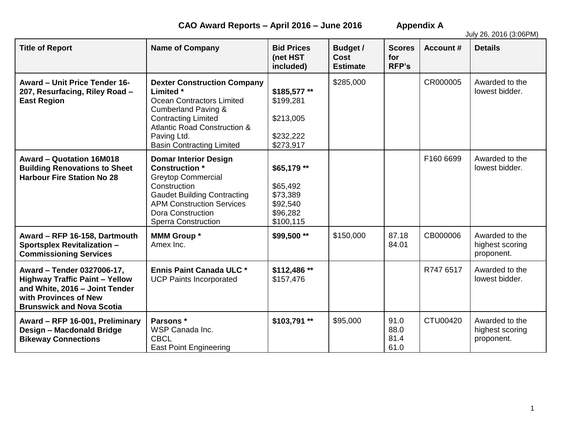**CAO Award Reports – April 2016 – June 2016 Appendix A**

July 26, 2016 (3:06PM)

| <b>Title of Report</b>                                                                                                                                             | <b>Name of Company</b>                                                                                                                                                                                                                            | <b>Bid Prices</b><br>(net HST<br>included)                               | <b>Budget /</b><br><b>Cost</b><br><b>Estimate</b> | <b>Scores</b><br>for<br><b>RFP's</b> | <b>Account #</b> | <b>Details</b>                                  |
|--------------------------------------------------------------------------------------------------------------------------------------------------------------------|---------------------------------------------------------------------------------------------------------------------------------------------------------------------------------------------------------------------------------------------------|--------------------------------------------------------------------------|---------------------------------------------------|--------------------------------------|------------------|-------------------------------------------------|
| <b>Award - Unit Price Tender 16-</b><br>207, Resurfacing, Riley Road -<br><b>East Region</b>                                                                       | <b>Dexter Construction Company</b><br>Limited *<br><b>Ocean Contractors Limited</b><br><b>Cumberland Paving &amp;</b><br><b>Contracting Limited</b><br><b>Atlantic Road Construction &amp;</b><br>Paving Ltd.<br><b>Basin Contracting Limited</b> | \$185,577**<br>\$199,281<br>\$213,005<br>\$232,222<br>\$273,917          | \$285,000                                         |                                      | CR000005         | Awarded to the<br>lowest bidder.                |
| Award - Quotation 16M018<br><b>Building Renovations to Sheet</b><br><b>Harbour Fire Station No 28</b>                                                              | <b>Domar Interior Design</b><br><b>Construction</b> *<br><b>Greytop Commercial</b><br>Construction<br><b>Gaudet Building Contracting</b><br><b>APM Construction Services</b><br><b>Dora Construction</b><br><b>Sperra Construction</b>            | \$65,179 **<br>\$65,492<br>\$73,389<br>\$92,540<br>\$96,282<br>\$100,115 |                                                   |                                      | F160 6699        | Awarded to the<br>lowest bidder.                |
| Award - RFP 16-158, Dartmouth<br><b>Sportsplex Revitalization -</b><br><b>Commissioning Services</b>                                                               | <b>MMM Group *</b><br>Amex Inc.                                                                                                                                                                                                                   | \$99,500 **                                                              | \$150,000                                         | 87.18<br>84.01                       | CB000006         | Awarded to the<br>highest scoring<br>proponent. |
| Award - Tender 0327006-17,<br><b>Highway Traffic Paint - Yellow</b><br>and White, 2016 - Joint Tender<br>with Provinces of New<br><b>Brunswick and Nova Scotia</b> | <b>Ennis Paint Canada ULC *</b><br><b>UCP Paints Incorporated</b>                                                                                                                                                                                 | \$112,486**<br>\$157,476                                                 |                                                   |                                      | R747 6517        | Awarded to the<br>lowest bidder.                |
| Award - RFP 16-001, Preliminary<br>Design - Macdonald Bridge<br><b>Bikeway Connections</b>                                                                         | Parsons *<br>WSP Canada Inc.<br><b>CBCL</b><br><b>East Point Engineering</b>                                                                                                                                                                      | \$103,791**                                                              | \$95,000                                          | 91.0<br>88.0<br>81.4<br>61.0         | CTU00420         | Awarded to the<br>highest scoring<br>proponent. |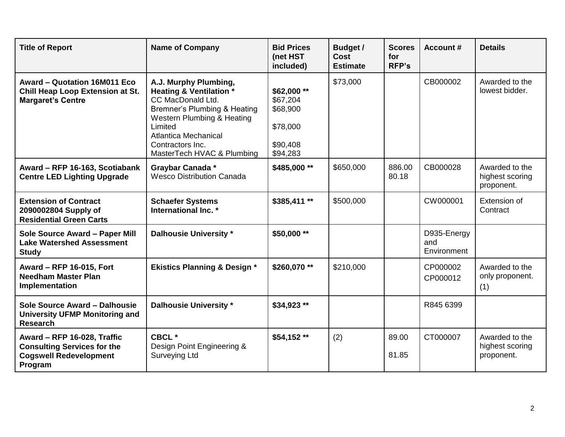| <b>Title of Report</b>                                                                                        | <b>Name of Company</b>                                                                                                                                                                                                                                | <b>Bid Prices</b><br>(net HST<br>included)                             | <b>Budget /</b><br>Cost<br><b>Estimate</b> | <b>Scores</b><br>for<br><b>RFP's</b> | <b>Account #</b>                  | <b>Details</b>                                  |
|---------------------------------------------------------------------------------------------------------------|-------------------------------------------------------------------------------------------------------------------------------------------------------------------------------------------------------------------------------------------------------|------------------------------------------------------------------------|--------------------------------------------|--------------------------------------|-----------------------------------|-------------------------------------------------|
| Award - Quotation 16M011 Eco<br><b>Chill Heap Loop Extension at St.</b><br><b>Margaret's Centre</b>           | A.J. Murphy Plumbing,<br><b>Heating &amp; Ventilation *</b><br>CC MacDonald Ltd.<br>Bremner's Plumbing & Heating<br><b>Western Plumbing &amp; Heating</b><br>Limited<br><b>Atlantica Mechanical</b><br>Contractors Inc.<br>MasterTech HVAC & Plumbing | \$62,000**<br>\$67,204<br>\$68,900<br>\$78,000<br>\$90,408<br>\$94,283 | \$73,000                                   |                                      | CB000002                          | Awarded to the<br>lowest bidder.                |
| Award - RFP 16-163, Scotiabank<br><b>Centre LED Lighting Upgrade</b>                                          | Graybar Canada *<br><b>Wesco Distribution Canada</b>                                                                                                                                                                                                  | \$485,000**                                                            | \$650,000                                  | 886.00<br>80.18                      | CB000028                          | Awarded to the<br>highest scoring<br>proponent. |
| <b>Extension of Contract</b><br>2090002804 Supply of<br><b>Residential Green Carts</b>                        | <b>Schaefer Systems</b><br>International Inc. *                                                                                                                                                                                                       | \$385,411**                                                            | \$500,000                                  |                                      | CW000001                          | Extension of<br>Contract                        |
| Sole Source Award - Paper Mill<br><b>Lake Watershed Assessment</b><br><b>Study</b>                            | <b>Dalhousie University *</b>                                                                                                                                                                                                                         | \$50,000 **                                                            |                                            |                                      | D935-Energy<br>and<br>Environment |                                                 |
| Award - RFP 16-015, Fort<br><b>Needham Master Plan</b><br>Implementation                                      | <b>Ekistics Planning &amp; Design *</b>                                                                                                                                                                                                               | \$260,070 **                                                           | \$210,000                                  |                                      | CP000002<br>CP000012              | Awarded to the<br>only proponent.<br>(1)        |
| Sole Source Award - Dalhousie<br><b>University UFMP Monitoring and</b><br><b>Research</b>                     | <b>Dalhousie University *</b>                                                                                                                                                                                                                         | \$34,923 **                                                            |                                            |                                      | R845 6399                         |                                                 |
| Award - RFP 16-028, Traffic<br><b>Consulting Services for the</b><br><b>Cogswell Redevelopment</b><br>Program | CBCL *<br>Design Point Engineering &<br><b>Surveying Ltd</b>                                                                                                                                                                                          | \$54,152**                                                             | (2)                                        | 89.00<br>81.85                       | CT000007                          | Awarded to the<br>highest scoring<br>proponent. |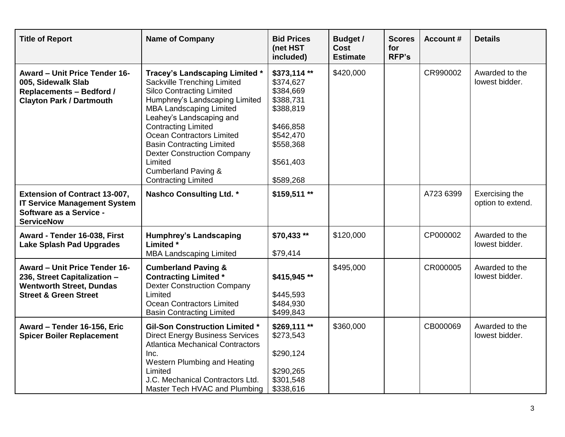| <b>Title of Report</b>                                                                                                               | <b>Name of Company</b>                                                                                                                                                                                                                                                                                                                                                                                                   | <b>Bid Prices</b><br>(net HST<br>included)                                                                                       | <b>Budget /</b><br>Cost<br><b>Estimate</b> | <b>Scores</b><br>for<br><b>RFP's</b> | <b>Account #</b> | <b>Details</b>                      |
|--------------------------------------------------------------------------------------------------------------------------------------|--------------------------------------------------------------------------------------------------------------------------------------------------------------------------------------------------------------------------------------------------------------------------------------------------------------------------------------------------------------------------------------------------------------------------|----------------------------------------------------------------------------------------------------------------------------------|--------------------------------------------|--------------------------------------|------------------|-------------------------------------|
| <b>Award - Unit Price Tender 16-</b><br>005, Sidewalk Slab<br><b>Replacements - Bedford /</b><br><b>Clayton Park / Dartmouth</b>     | Tracey's Landscaping Limited *<br>Sackville Trenching Limited<br><b>Silco Contracting Limited</b><br>Humphrey's Landscaping Limited<br><b>MBA Landscaping Limited</b><br>Leahey's Landscaping and<br><b>Contracting Limited</b><br><b>Ocean Contractors Limited</b><br><b>Basin Contracting Limited</b><br><b>Dexter Construction Company</b><br>Limited<br><b>Cumberland Paving &amp;</b><br><b>Contracting Limited</b> | \$373,114**<br>\$374,627<br>\$384,669<br>\$388,731<br>\$388,819<br>\$466,858<br>\$542,470<br>\$558,368<br>\$561,403<br>\$589,268 | \$420,000                                  |                                      | CR990002         | Awarded to the<br>lowest bidder.    |
| <b>Extension of Contract 13-007,</b><br><b>IT Service Management System</b><br>Software as a Service -<br><b>ServiceNow</b>          | <b>Nashco Consulting Ltd. *</b>                                                                                                                                                                                                                                                                                                                                                                                          | \$159,511 **                                                                                                                     |                                            |                                      | A723 6399        | Exercising the<br>option to extend. |
| Award - Tender 16-038, First<br><b>Lake Splash Pad Upgrades</b>                                                                      | <b>Humphrey's Landscaping</b><br>Limited *<br><b>MBA Landscaping Limited</b>                                                                                                                                                                                                                                                                                                                                             | \$70,433 **<br>\$79,414                                                                                                          | \$120,000                                  |                                      | CP000002         | Awarded to the<br>lowest bidder.    |
| Award - Unit Price Tender 16-<br>236, Street Capitalization -<br><b>Wentworth Street, Dundas</b><br><b>Street &amp; Green Street</b> | <b>Cumberland Paving &amp;</b><br><b>Contracting Limited *</b><br><b>Dexter Construction Company</b><br>Limited<br>Ocean Contractors Limited<br><b>Basin Contracting Limited</b>                                                                                                                                                                                                                                         | \$415,945**<br>\$445,593<br>\$484,930<br>\$499,843                                                                               | \$495,000                                  |                                      | CR000005         | Awarded to the<br>lowest bidder.    |
| Award - Tender 16-156, Eric<br><b>Spicer Boiler Replacement</b>                                                                      | <b>Gil-Son Construction Limited *</b><br><b>Direct Energy Business Services</b><br><b>Atlantica Mechanical Contractors</b><br>Inc.<br>Western Plumbing and Heating<br>Limited<br>J.C. Mechanical Contractors Ltd.<br>Master Tech HVAC and Plumbing                                                                                                                                                                       | \$269,111**<br>\$273,543<br>\$290,124<br>\$290,265<br>\$301,548<br>\$338,616                                                     | \$360,000                                  |                                      | CB000069         | Awarded to the<br>lowest bidder.    |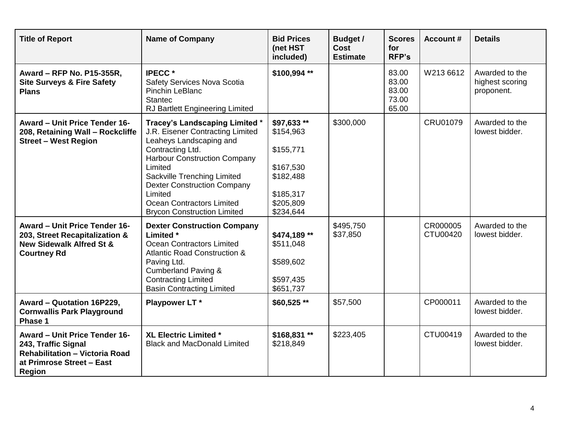| <b>Title of Report</b>                                                                                                                      | <b>Name of Company</b>                                                                                                                                                                                                                                                                                                 | <b>Bid Prices</b><br>(net HST<br>included)                                                             | <b>Budget /</b><br><b>Cost</b><br><b>Estimate</b> | <b>Scores</b><br>for<br><b>RFP's</b>      | <b>Account #</b>     | <b>Details</b>                                  |
|---------------------------------------------------------------------------------------------------------------------------------------------|------------------------------------------------------------------------------------------------------------------------------------------------------------------------------------------------------------------------------------------------------------------------------------------------------------------------|--------------------------------------------------------------------------------------------------------|---------------------------------------------------|-------------------------------------------|----------------------|-------------------------------------------------|
| Award - RFP No. P15-355R,<br><b>Site Surveys &amp; Fire Safety</b><br><b>Plans</b>                                                          | <b>IPECC*</b><br>Safety Services Nova Scotia<br>Pinchin LeBlanc<br><b>Stantec</b><br><b>RJ Bartlett Engineering Limited</b>                                                                                                                                                                                            | \$100,994**                                                                                            |                                                   | 83.00<br>83.00<br>83.00<br>73.00<br>65.00 | W213 6612            | Awarded to the<br>highest scoring<br>proponent. |
| <b>Award - Unit Price Tender 16-</b><br>208, Retaining Wall - Rockcliffe<br><b>Street - West Region</b>                                     | Tracey's Landscaping Limited *<br>J.R. Eisener Contracting Limited<br>Leaheys Landscaping and<br>Contracting Ltd.<br><b>Harbour Construction Company</b><br>Limited<br>Sackville Trenching Limited<br><b>Dexter Construction Company</b><br>Limited<br>Ocean Contractors Limited<br><b>Brycon Construction Limited</b> | \$97,633 **<br>\$154,963<br>\$155,771<br>\$167,530<br>\$182,488<br>\$185,317<br>\$205,809<br>\$234,644 | \$300,000                                         |                                           | <b>CRU01079</b>      | Awarded to the<br>lowest bidder.                |
| Award - Unit Price Tender 16-<br>203, Street Recapitalization &<br><b>New Sidewalk Alfred St &amp;</b><br><b>Courtney Rd</b>                | <b>Dexter Construction Company</b><br>Limited *<br><b>Ocean Contractors Limited</b><br><b>Atlantic Road Construction &amp;</b><br>Paving Ltd.<br><b>Cumberland Paving &amp;</b><br><b>Contracting Limited</b><br><b>Basin Contracting Limited</b>                                                                      | \$474,189**<br>\$511,048<br>\$589,602<br>\$597,435<br>\$651,737                                        | \$495,750<br>\$37,850                             |                                           | CR000005<br>CTU00420 | Awarded to the<br>lowest bidder.                |
| Award - Quotation 16P229,<br><b>Cornwallis Park Playground</b><br>Phase 1                                                                   | Playpower LT*                                                                                                                                                                                                                                                                                                          | $$60,525**$                                                                                            | \$57,500                                          |                                           | CP000011             | Awarded to the<br>lowest bidder.                |
| <b>Award - Unit Price Tender 16-</b><br>243, Traffic Signal<br><b>Rehabilitation - Victoria Road</b><br>at Primrose Street - East<br>Region | <b>XL Electric Limited *</b><br><b>Black and MacDonald Limited</b>                                                                                                                                                                                                                                                     | \$168,831**<br>\$218,849                                                                               | \$223,405                                         |                                           | CTU00419             | Awarded to the<br>lowest bidder.                |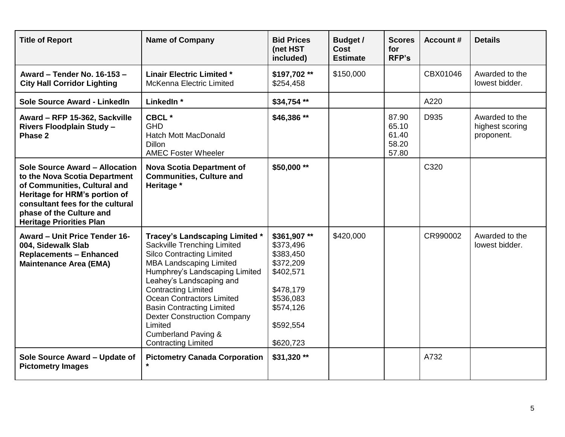| <b>Title of Report</b>                                                                                                                                                                                                              | <b>Name of Company</b>                                                                                                                                                                                                                                                                                                                                                                                                          | <b>Bid Prices</b><br>(net HST<br>included)                                                                                       | <b>Budget /</b><br>Cost<br><b>Estimate</b> | <b>Scores</b><br>for<br><b>RFP's</b>      | <b>Account #</b> | <b>Details</b>                                  |
|-------------------------------------------------------------------------------------------------------------------------------------------------------------------------------------------------------------------------------------|---------------------------------------------------------------------------------------------------------------------------------------------------------------------------------------------------------------------------------------------------------------------------------------------------------------------------------------------------------------------------------------------------------------------------------|----------------------------------------------------------------------------------------------------------------------------------|--------------------------------------------|-------------------------------------------|------------------|-------------------------------------------------|
| Award - Tender No. 16-153 -<br><b>City Hall Corridor Lighting</b>                                                                                                                                                                   | <b>Linair Electric Limited *</b><br><b>McKenna Electric Limited</b>                                                                                                                                                                                                                                                                                                                                                             | \$197,702**<br>\$254,458                                                                                                         | \$150,000                                  |                                           | CBX01046         | Awarded to the<br>lowest bidder.                |
| Sole Source Award - LinkedIn                                                                                                                                                                                                        | LinkedIn *                                                                                                                                                                                                                                                                                                                                                                                                                      | \$34,754 **                                                                                                                      |                                            |                                           | A220             |                                                 |
| Award - RFP 15-362, Sackville<br><b>Rivers Floodplain Study -</b><br>Phase 2                                                                                                                                                        | CBCL *<br><b>GHD</b><br><b>Hatch Mott MacDonald</b><br><b>Dillon</b><br><b>AMEC Foster Wheeler</b>                                                                                                                                                                                                                                                                                                                              | \$46,386 **                                                                                                                      |                                            | 87.90<br>65.10<br>61.40<br>58.20<br>57.80 | D935             | Awarded to the<br>highest scoring<br>proponent. |
| Sole Source Award - Allocation<br>to the Nova Scotia Department<br>of Communities, Cultural and<br>Heritage for HRM's portion of<br>consultant fees for the cultural<br>phase of the Culture and<br><b>Heritage Priorities Plan</b> | <b>Nova Scotia Department of</b><br><b>Communities, Culture and</b><br>Heritage *                                                                                                                                                                                                                                                                                                                                               | \$50,000 **                                                                                                                      |                                            |                                           | C320             |                                                 |
| Award - Unit Price Tender 16-<br>004, Sidewalk Slab<br><b>Replacements - Enhanced</b><br><b>Maintenance Area (EMA)</b>                                                                                                              | <b>Tracey's Landscaping Limited *</b><br>Sackville Trenching Limited<br><b>Silco Contracting Limited</b><br><b>MBA Landscaping Limited</b><br>Humphrey's Landscaping Limited<br>Leahey's Landscaping and<br><b>Contracting Limited</b><br><b>Ocean Contractors Limited</b><br><b>Basin Contracting Limited</b><br><b>Dexter Construction Company</b><br>Limited<br><b>Cumberland Paving &amp;</b><br><b>Contracting Limited</b> | \$361,907**<br>\$373,496<br>\$383,450<br>\$372,209<br>\$402,571<br>\$478,179<br>\$536,083<br>\$574,126<br>\$592,554<br>\$620,723 | \$420,000                                  |                                           | CR990002         | Awarded to the<br>lowest bidder.                |
| Sole Source Award - Update of<br><b>Pictometry Images</b>                                                                                                                                                                           | <b>Pictometry Canada Corporation</b><br>$\star$                                                                                                                                                                                                                                                                                                                                                                                 | \$31,320 **                                                                                                                      |                                            |                                           | A732             |                                                 |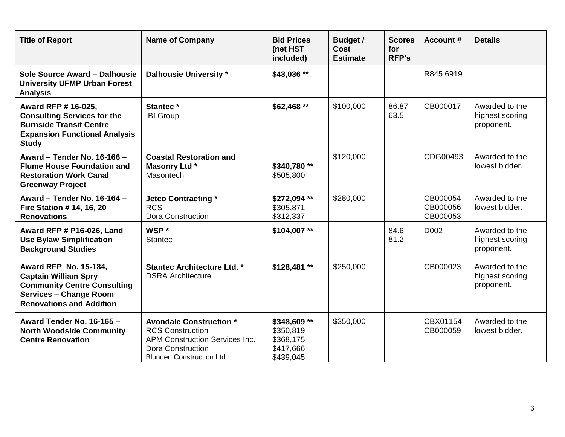| <b>Title of Report</b>                                                                                                                                                | <b>Name of Company</b>                                                                                                                                      | <b>Bid Prices</b><br>(net HST<br>included)                       | Budget /<br><b>Cost</b><br><b>Estimate</b> | <b>Scores</b><br>for<br><b>RFP's</b> | <b>Account #</b>                 | <b>Details</b>                                  |
|-----------------------------------------------------------------------------------------------------------------------------------------------------------------------|-------------------------------------------------------------------------------------------------------------------------------------------------------------|------------------------------------------------------------------|--------------------------------------------|--------------------------------------|----------------------------------|-------------------------------------------------|
| Sole Source Award - Dalhousie<br><b>University UFMP Urban Forest</b><br><b>Analysis</b>                                                                               | <b>Dalhousie University *</b>                                                                                                                               | \$43,036 **                                                      |                                            |                                      | R845 6919                        |                                                 |
| Award RFP # 16-025,<br><b>Consulting Services for the</b><br><b>Burnside Transit Centre</b><br><b>Expansion Functional Analysis</b><br><b>Study</b>                   | Stantec*<br><b>IBI Group</b>                                                                                                                                | $$62,468**$                                                      | \$100,000                                  | 86.87<br>63.5                        | CB000017                         | Awarded to the<br>highest scoring<br>proponent. |
| Award - Tender No. 16-166 -<br><b>Flume House Foundation and</b><br><b>Restoration Work Canal</b><br><b>Greenway Project</b>                                          | <b>Coastal Restoration and</b><br><b>Masonry Ltd *</b><br>Masontech                                                                                         | \$340,780**<br>\$505,800                                         | \$120,000                                  |                                      | CDG00493                         | Awarded to the<br>lowest bidder.                |
| Award - Tender No. 16-164 -<br>Fire Station # 14, 16, 20<br><b>Renovations</b>                                                                                        | <b>Jetco Contracting *</b><br><b>RCS</b><br><b>Dora Construction</b>                                                                                        | \$272,094 **<br>\$305,871<br>\$312,337                           | \$280,000                                  |                                      | CB000054<br>CB000056<br>CB000053 | Awarded to the<br>lowest bidder.                |
| Award RFP # P16-026, Land<br><b>Use Bylaw Simplification</b><br><b>Background Studies</b>                                                                             | WSP *<br><b>Stantec</b>                                                                                                                                     | \$104,007**                                                      |                                            | 84.6<br>81.2                         | D002                             | Awarded to the<br>highest scoring<br>proponent. |
| <b>Award RFP No. 15-184,</b><br><b>Captain William Spry</b><br><b>Community Centre Consulting</b><br><b>Services - Change Room</b><br><b>Renovations and Addition</b> | <b>Stantec Architecture Ltd. *</b><br><b>DSRA Architecture</b>                                                                                              | $$128,481$ **                                                    | \$250,000                                  |                                      | CB000023                         | Awarded to the<br>highest scoring<br>proponent. |
| Award Tender No. 16-165 -<br><b>North Woodside Community</b><br><b>Centre Renovation</b>                                                                              | <b>Avondale Construction *</b><br><b>RCS Construction</b><br><b>APM Construction Services Inc.</b><br>Dora Construction<br><b>Blunden Construction Ltd.</b> | \$348,609 **<br>\$350,819<br>\$368,175<br>\$417,666<br>\$439,045 | \$350,000                                  |                                      | CBX01154<br>CB000059             | Awarded to the<br>lowest bidder.                |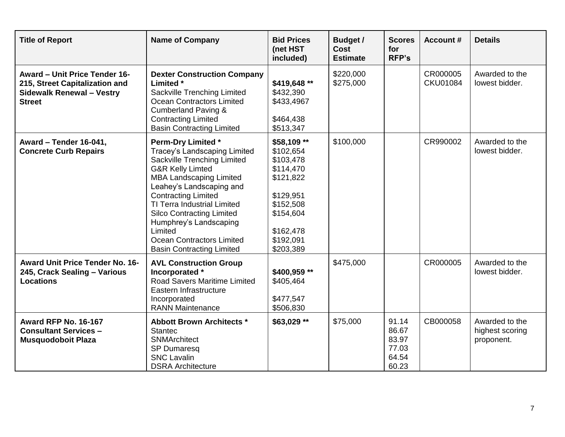| <b>Title of Report</b>                                                                                                      | <b>Name of Company</b>                                                                                                                                                                                                                                                                                                                                                                       | <b>Bid Prices</b><br>(net HST<br>included)                                                                                                    | Budget /<br>Cost<br><b>Estimate</b> | <b>Scores</b><br>for<br><b>RFP's</b>               | <b>Account #</b>            | <b>Details</b>                                  |
|-----------------------------------------------------------------------------------------------------------------------------|----------------------------------------------------------------------------------------------------------------------------------------------------------------------------------------------------------------------------------------------------------------------------------------------------------------------------------------------------------------------------------------------|-----------------------------------------------------------------------------------------------------------------------------------------------|-------------------------------------|----------------------------------------------------|-----------------------------|-------------------------------------------------|
| <b>Award - Unit Price Tender 16-</b><br>215, Street Capitalization and<br><b>Sidewalk Renewal - Vestry</b><br><b>Street</b> | <b>Dexter Construction Company</b><br>Limited *<br>Sackville Trenching Limited<br><b>Ocean Contractors Limited</b><br><b>Cumberland Paving &amp;</b><br><b>Contracting Limited</b><br><b>Basin Contracting Limited</b>                                                                                                                                                                       | \$419,648 **<br>\$432,390<br>\$433,4967<br>\$464,438<br>\$513,347                                                                             | \$220,000<br>\$275,000              |                                                    | CR000005<br><b>CKU01084</b> | Awarded to the<br>lowest bidder.                |
| Award - Tender 16-041,<br><b>Concrete Curb Repairs</b>                                                                      | <b>Perm-Dry Limited *</b><br>Tracey's Landscaping Limited<br>Sackville Trenching Limited<br><b>G&amp;R Kelly Limted</b><br><b>MBA Landscaping Limited</b><br>Leahey's Landscaping and<br><b>Contracting Limited</b><br>TI Terra Industrial Limited<br><b>Silco Contracting Limited</b><br>Humphrey's Landscaping<br>Limited<br>Ocean Contractors Limited<br><b>Basin Contracting Limited</b> | \$58,109 **<br>\$102,654<br>\$103,478<br>\$114,470<br>\$121,822<br>\$129,951<br>\$152,508<br>\$154,604<br>\$162,478<br>\$192,091<br>\$203,389 | \$100,000                           |                                                    | CR990002                    | Awarded to the<br>lowest bidder.                |
| <b>Award Unit Price Tender No. 16-</b><br>245, Crack Sealing - Various<br><b>Locations</b>                                  | <b>AVL Construction Group</b><br>Incorporated *<br>Road Savers Maritime Limited<br>Eastern Infrastructure<br>Incorporated<br><b>RANN Maintenance</b>                                                                                                                                                                                                                                         | \$400,959 **<br>\$405,464<br>\$477,547<br>\$506,830                                                                                           | \$475,000                           |                                                    | CR000005                    | Awarded to the<br>lowest bidder.                |
| <b>Award RFP No. 16-167</b><br><b>Consultant Services -</b><br><b>Musquodoboit Plaza</b>                                    | <b>Abbott Brown Architects *</b><br><b>Stantec</b><br><b>SNMArchitect</b><br><b>SP Dumaresq</b><br><b>SNC Lavalin</b><br><b>DSRA Architecture</b>                                                                                                                                                                                                                                            | \$63,029 **                                                                                                                                   | \$75,000                            | 91.14<br>86.67<br>83.97<br>77.03<br>64.54<br>60.23 | CB000058                    | Awarded to the<br>highest scoring<br>proponent. |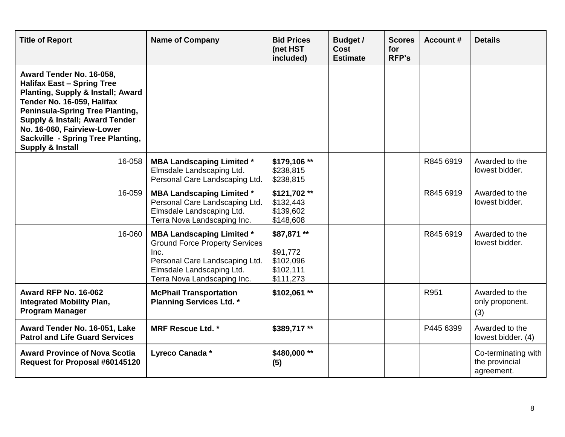| <b>Title of Report</b>                                                                                                                                                                                                                                                                                                                      | <b>Name of Company</b>                                                                                                                                                          | <b>Bid Prices</b><br>(net HST<br>included)                     | Budget /<br><b>Cost</b><br><b>Estimate</b> | <b>Scores</b><br>for<br><b>RFP's</b> | <b>Account #</b> | <b>Details</b>                                      |
|---------------------------------------------------------------------------------------------------------------------------------------------------------------------------------------------------------------------------------------------------------------------------------------------------------------------------------------------|---------------------------------------------------------------------------------------------------------------------------------------------------------------------------------|----------------------------------------------------------------|--------------------------------------------|--------------------------------------|------------------|-----------------------------------------------------|
| Award Tender No. 16-058,<br><b>Halifax East - Spring Tree</b><br><b>Planting, Supply &amp; Install; Award</b><br>Tender No. 16-059, Halifax<br><b>Peninsula-Spring Tree Planting,</b><br><b>Supply &amp; Install; Award Tender</b><br>No. 16-060, Fairview-Lower<br><b>Sackville - Spring Tree Planting,</b><br><b>Supply &amp; Install</b> |                                                                                                                                                                                 |                                                                |                                            |                                      |                  |                                                     |
| 16-058                                                                                                                                                                                                                                                                                                                                      | <b>MBA Landscaping Limited *</b><br>Elmsdale Landscaping Ltd.<br>Personal Care Landscaping Ltd.                                                                                 | \$179,106 **<br>\$238,815<br>\$238,815                         |                                            |                                      | R845 6919        | Awarded to the<br>lowest bidder.                    |
| 16-059                                                                                                                                                                                                                                                                                                                                      | <b>MBA Landscaping Limited *</b><br>Personal Care Landscaping Ltd.<br>Elmsdale Landscaping Ltd.<br>Terra Nova Landscaping Inc.                                                  | \$121,702**<br>\$132,443<br>\$139,602<br>\$148,608             |                                            |                                      | R845 6919        | Awarded to the<br>lowest bidder.                    |
| 16-060                                                                                                                                                                                                                                                                                                                                      | <b>MBA Landscaping Limited *</b><br><b>Ground Force Property Services</b><br>Inc.<br>Personal Care Landscaping Ltd.<br>Elmsdale Landscaping Ltd.<br>Terra Nova Landscaping Inc. | \$87,871 **<br>\$91,772<br>\$102,096<br>\$102,111<br>\$111,273 |                                            |                                      | R845 6919        | Awarded to the<br>lowest bidder.                    |
| <b>Award RFP No. 16-062</b><br><b>Integrated Mobility Plan,</b><br><b>Program Manager</b>                                                                                                                                                                                                                                                   | <b>McPhail Transportation</b><br><b>Planning Services Ltd. *</b>                                                                                                                | \$102,061**                                                    |                                            |                                      | R951             | Awarded to the<br>only proponent.<br>(3)            |
| Award Tender No. 16-051, Lake<br><b>Patrol and Life Guard Services</b>                                                                                                                                                                                                                                                                      | <b>MRF Rescue Ltd. *</b>                                                                                                                                                        | \$389,717**                                                    |                                            |                                      | P445 6399        | Awarded to the<br>lowest bidder. (4)                |
| <b>Award Province of Nova Scotia</b><br>Request for Proposal #60145120                                                                                                                                                                                                                                                                      | Lyreco Canada *                                                                                                                                                                 | \$480,000 **<br>(5)                                            |                                            |                                      |                  | Co-terminating with<br>the provincial<br>agreement. |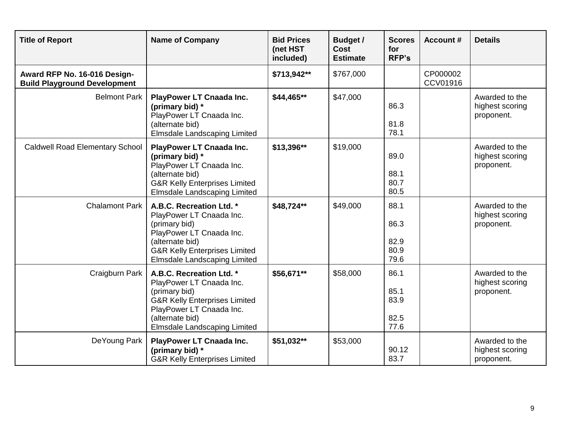| <b>Title of Report</b>                                              | <b>Name of Company</b>                                                                                                                                                                                  | <b>Bid Prices</b><br>(net HST<br>included) | Budget /<br><b>Cost</b><br><b>Estimate</b> | <b>Scores</b><br>for<br><b>RFP's</b> | <b>Account #</b>     | <b>Details</b>                                  |
|---------------------------------------------------------------------|---------------------------------------------------------------------------------------------------------------------------------------------------------------------------------------------------------|--------------------------------------------|--------------------------------------------|--------------------------------------|----------------------|-------------------------------------------------|
| Award RFP No. 16-016 Design-<br><b>Build Playground Development</b> |                                                                                                                                                                                                         | \$713,942**                                | \$767,000                                  |                                      | CP000002<br>CCV01916 |                                                 |
| <b>Belmont Park</b>                                                 | <b>PlayPower LT Cnaada Inc.</b><br>(primary bid) *<br>PlayPower LT Cnaada Inc.<br>(alternate bid)<br><b>Elmsdale Landscaping Limited</b>                                                                | \$44,465**                                 | \$47,000                                   | 86.3<br>81.8<br>78.1                 |                      | Awarded to the<br>highest scoring<br>proponent. |
| <b>Caldwell Road Elementary School</b>                              | <b>PlayPower LT Cnaada Inc.</b><br>(primary bid) *<br>PlayPower LT Cnaada Inc.<br>(alternate bid)<br><b>G&amp;R Kelly Enterprises Limited</b><br><b>Elmsdale Landscaping Limited</b>                    | \$13,396**                                 | \$19,000                                   | 89.0<br>88.1<br>80.7<br>80.5         |                      | Awarded to the<br>highest scoring<br>proponent. |
| <b>Chalamont Park</b>                                               | A.B.C. Recreation Ltd. *<br>PlayPower LT Cnaada Inc.<br>(primary bid)<br>PlayPower LT Cnaada Inc.<br>(alternate bid)<br><b>G&amp;R Kelly Enterprises Limited</b><br>Elmsdale Landscaping Limited        | \$48,724**                                 | \$49,000                                   | 88.1<br>86.3<br>82.9<br>80.9<br>79.6 |                      | Awarded to the<br>highest scoring<br>proponent. |
| Craigburn Park                                                      | A.B.C. Recreation Ltd. *<br>PlayPower LT Cnaada Inc.<br>(primary bid)<br><b>G&amp;R Kelly Enterprises Limited</b><br>PlayPower LT Cnaada Inc.<br>(alternate bid)<br><b>Elmsdale Landscaping Limited</b> | \$56,671**                                 | \$58,000                                   | 86.1<br>85.1<br>83.9<br>82.5<br>77.6 |                      | Awarded to the<br>highest scoring<br>proponent. |
| DeYoung Park                                                        | <b>PlayPower LT Cnaada Inc.</b><br>(primary bid) *<br><b>G&amp;R Kelly Enterprises Limited</b>                                                                                                          | \$51,032**                                 | \$53,000                                   | 90.12<br>83.7                        |                      | Awarded to the<br>highest scoring<br>proponent. |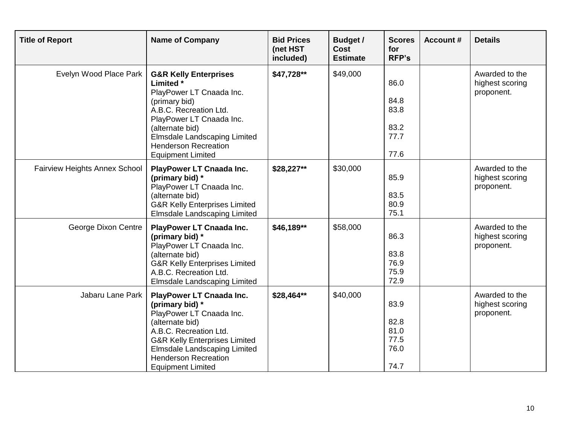| <b>Title of Report</b>               | <b>Name of Company</b>                                                                                                                                                                                                                                                    | <b>Bid Prices</b><br>(net HST<br>included) | <b>Budget /</b><br><b>Cost</b><br><b>Estimate</b> | <b>Scores</b><br>for<br><b>RFP's</b>         | <b>Account #</b> | <b>Details</b>                                  |
|--------------------------------------|---------------------------------------------------------------------------------------------------------------------------------------------------------------------------------------------------------------------------------------------------------------------------|--------------------------------------------|---------------------------------------------------|----------------------------------------------|------------------|-------------------------------------------------|
| Evelyn Wood Place Park               | <b>G&amp;R Kelly Enterprises</b><br>Limited *<br>PlayPower LT Cnaada Inc.<br>(primary bid)<br>A.B.C. Recreation Ltd.<br>PlayPower LT Cnaada Inc.<br>(alternate bid)<br><b>Elmsdale Landscaping Limited</b><br><b>Henderson Recreation</b><br><b>Equipment Limited</b>     | \$47,728**                                 | \$49,000                                          | 86.0<br>84.8<br>83.8<br>83.2<br>77.7<br>77.6 |                  | Awarded to the<br>highest scoring<br>proponent. |
| <b>Fairview Heights Annex School</b> | <b>PlayPower LT Cnaada Inc.</b><br>(primary bid) *<br>PlayPower LT Cnaada Inc.<br>(alternate bid)<br><b>G&amp;R Kelly Enterprises Limited</b><br><b>Elmsdale Landscaping Limited</b>                                                                                      | \$28,227**                                 | \$30,000                                          | 85.9<br>83.5<br>80.9<br>75.1                 |                  | Awarded to the<br>highest scoring<br>proponent. |
| George Dixon Centre                  | <b>PlayPower LT Cnaada Inc.</b><br>(primary bid) *<br>PlayPower LT Cnaada Inc.<br>(alternate bid)<br><b>G&amp;R Kelly Enterprises Limited</b><br>A.B.C. Recreation Ltd.<br><b>Elmsdale Landscaping Limited</b>                                                            | \$46,189**                                 | \$58,000                                          | 86.3<br>83.8<br>76.9<br>75.9<br>72.9         |                  | Awarded to the<br>highest scoring<br>proponent. |
| Jabaru Lane Park                     | <b>PlayPower LT Cnaada Inc.</b><br>(primary bid) *<br>PlayPower LT Cnaada Inc.<br>(alternate bid)<br>A.B.C. Recreation Ltd.<br><b>G&amp;R Kelly Enterprises Limited</b><br><b>Elmsdale Landscaping Limited</b><br><b>Henderson Recreation</b><br><b>Equipment Limited</b> | \$28,464**                                 | \$40,000                                          | 83.9<br>82.8<br>81.0<br>77.5<br>76.0<br>74.7 |                  | Awarded to the<br>highest scoring<br>proponent. |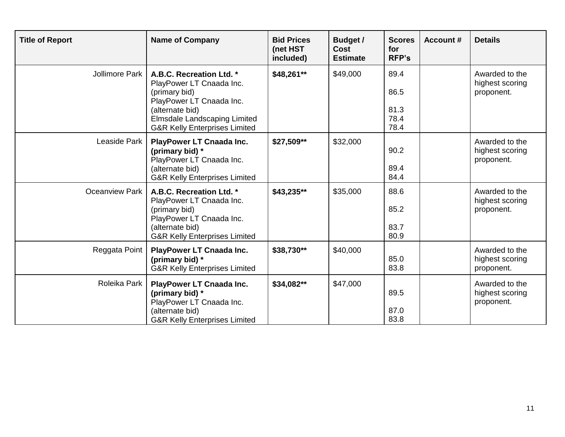| <b>Title of Report</b> | <b>Name of Company</b>                                                                                                                                                                                  | <b>Bid Prices</b><br>(net HST<br>included) | <b>Budget /</b><br>Cost<br><b>Estimate</b> | <b>Scores</b><br>for<br><b>RFP's</b> | <b>Account #</b> | <b>Details</b>                                  |
|------------------------|---------------------------------------------------------------------------------------------------------------------------------------------------------------------------------------------------------|--------------------------------------------|--------------------------------------------|--------------------------------------|------------------|-------------------------------------------------|
| Jollimore Park         | A.B.C. Recreation Ltd. *<br>PlayPower LT Cnaada Inc.<br>(primary bid)<br>PlayPower LT Cnaada Inc.<br>(alternate bid)<br><b>Elmsdale Landscaping Limited</b><br><b>G&amp;R Kelly Enterprises Limited</b> | \$48,261**                                 | \$49,000                                   | 89.4<br>86.5<br>81.3<br>78.4<br>78.4 |                  | Awarded to the<br>highest scoring<br>proponent. |
| Leaside Park           | <b>PlayPower LT Cnaada Inc.</b><br>(primary bid) *<br>PlayPower LT Cnaada Inc.<br>(alternate bid)<br><b>G&amp;R Kelly Enterprises Limited</b>                                                           | \$27,509**                                 | \$32,000                                   | 90.2<br>89.4<br>84.4                 |                  | Awarded to the<br>highest scoring<br>proponent. |
| <b>Oceanview Park</b>  | A.B.C. Recreation Ltd. *<br>PlayPower LT Cnaada Inc.<br>(primary bid)<br>PlayPower LT Cnaada Inc.<br>(alternate bid)<br><b>G&amp;R Kelly Enterprises Limited</b>                                        | \$43,235**                                 | \$35,000                                   | 88.6<br>85.2<br>83.7<br>80.9         |                  | Awarded to the<br>highest scoring<br>proponent. |
| Reggata Point          | <b>PlayPower LT Cnaada Inc.</b><br>(primary bid) *<br><b>G&amp;R Kelly Enterprises Limited</b>                                                                                                          | \$38,730**                                 | \$40,000                                   | 85.0<br>83.8                         |                  | Awarded to the<br>highest scoring<br>proponent. |
| Roleika Park           | <b>PlayPower LT Cnaada Inc.</b><br>(primary bid) *<br>PlayPower LT Cnaada Inc.<br>(alternate bid)<br><b>G&amp;R Kelly Enterprises Limited</b>                                                           | \$34,082**                                 | \$47,000                                   | 89.5<br>87.0<br>83.8                 |                  | Awarded to the<br>highest scoring<br>proponent. |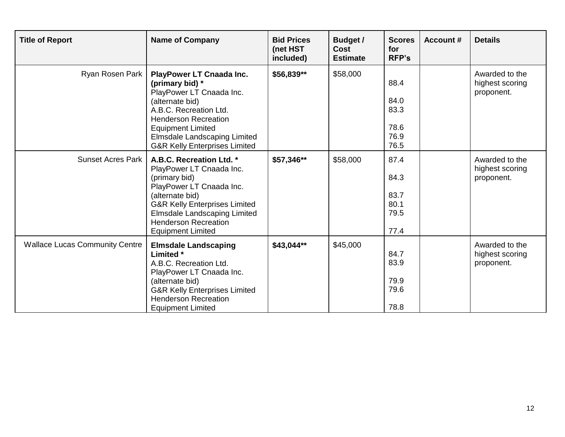| <b>Title of Report</b>                | <b>Name of Company</b>                                                                                                                                                                                                                                             | <b>Bid Prices</b><br>(net HST<br>included) | <b>Budget /</b><br><b>Cost</b><br><b>Estimate</b> | <b>Scores</b><br>for<br><b>RFP's</b>         | <b>Account #</b> | <b>Details</b>                                  |
|---------------------------------------|--------------------------------------------------------------------------------------------------------------------------------------------------------------------------------------------------------------------------------------------------------------------|--------------------------------------------|---------------------------------------------------|----------------------------------------------|------------------|-------------------------------------------------|
| Ryan Rosen Park                       | <b>PlayPower LT Cnaada Inc.</b><br>(primary bid) *<br>PlayPower LT Cnaada Inc.<br>(alternate bid)<br>A.B.C. Recreation Ltd.<br><b>Henderson Recreation</b><br><b>Equipment Limited</b><br>Elmsdale Landscaping Limited<br><b>G&amp;R Kelly Enterprises Limited</b> | \$56,839**                                 | \$58,000                                          | 88.4<br>84.0<br>83.3<br>78.6<br>76.9<br>76.5 |                  | Awarded to the<br>highest scoring<br>proponent. |
| <b>Sunset Acres Park</b>              | A.B.C. Recreation Ltd. *<br>PlayPower LT Cnaada Inc.<br>(primary bid)<br>PlayPower LT Cnaada Inc.<br>(alternate bid)<br><b>G&amp;R Kelly Enterprises Limited</b><br>Elmsdale Landscaping Limited<br><b>Henderson Recreation</b><br><b>Equipment Limited</b>        | \$57,346**                                 | \$58,000                                          | 87.4<br>84.3<br>83.7<br>80.1<br>79.5<br>77.4 |                  | Awarded to the<br>highest scoring<br>proponent. |
| <b>Wallace Lucas Community Centre</b> | <b>Elmsdale Landscaping</b><br>Limited *<br>A.B.C. Recreation Ltd.<br>PlayPower LT Cnaada Inc.<br>(alternate bid)<br><b>G&amp;R Kelly Enterprises Limited</b><br><b>Henderson Recreation</b><br><b>Equipment Limited</b>                                           | \$43,044**                                 | \$45,000                                          | 84.7<br>83.9<br>79.9<br>79.6<br>78.8         |                  | Awarded to the<br>highest scoring<br>proponent. |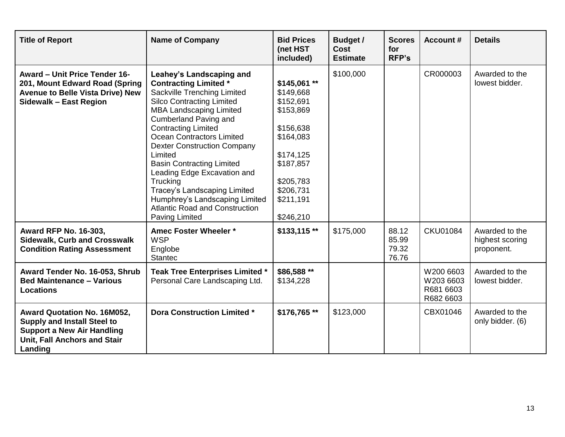| <b>Title of Report</b>                                                                                                                                          | <b>Name of Company</b>                                                                                                                                                                                                                                                                                                                                                                                                                                                                                                              | <b>Bid Prices</b><br>(net HST<br>included)                                                                                                                   | <b>Budget /</b><br>Cost<br><b>Estimate</b> | <b>Scores</b><br>for<br><b>RFP's</b> | <b>Account #</b>                                 | <b>Details</b>                                  |
|-----------------------------------------------------------------------------------------------------------------------------------------------------------------|-------------------------------------------------------------------------------------------------------------------------------------------------------------------------------------------------------------------------------------------------------------------------------------------------------------------------------------------------------------------------------------------------------------------------------------------------------------------------------------------------------------------------------------|--------------------------------------------------------------------------------------------------------------------------------------------------------------|--------------------------------------------|--------------------------------------|--------------------------------------------------|-------------------------------------------------|
| <b>Award - Unit Price Tender 16-</b><br>201, Mount Edward Road (Spring<br><b>Avenue to Belle Vista Drive) New</b><br>Sidewalk - East Region                     | Leahey's Landscaping and<br><b>Contracting Limited *</b><br>Sackville Trenching Limited<br><b>Silco Contracting Limited</b><br><b>MBA Landscaping Limited</b><br><b>Cumberland Paving and</b><br><b>Contracting Limited</b><br><b>Ocean Contractors Limited</b><br><b>Dexter Construction Company</b><br>Limited<br><b>Basin Contracting Limited</b><br>Leading Edge Excavation and<br>Trucking<br>Tracey's Landscaping Limited<br>Humphrey's Landscaping Limited<br><b>Atlantic Road and Construction</b><br><b>Paving Limited</b> | $$145,061$ **<br>\$149,668<br>\$152,691<br>\$153,869<br>\$156,638<br>\$164,083<br>\$174,125<br>\$187,857<br>\$205,783<br>\$206,731<br>\$211,191<br>\$246,210 | \$100,000                                  |                                      | CR000003                                         | Awarded to the<br>lowest bidder.                |
| <b>Award RFP No. 16-303,</b><br><b>Sidewalk, Curb and Crosswalk</b><br><b>Condition Rating Assessment</b>                                                       | Amec Foster Wheeler *<br><b>WSP</b><br>Englobe<br><b>Stantec</b>                                                                                                                                                                                                                                                                                                                                                                                                                                                                    | $$133,115$ **                                                                                                                                                | \$175,000                                  | 88.12<br>85.99<br>79.32<br>76.76     | <b>CKU01084</b>                                  | Awarded to the<br>highest scoring<br>proponent. |
| Award Tender No. 16-053, Shrub<br><b>Bed Maintenance - Various</b><br><b>Locations</b>                                                                          | Teak Tree Enterprises Limited *<br>Personal Care Landscaping Ltd.                                                                                                                                                                                                                                                                                                                                                                                                                                                                   | \$86,588 **<br>\$134,228                                                                                                                                     |                                            |                                      | W200 6603<br>W203 6603<br>R681 6603<br>R682 6603 | Awarded to the<br>lowest bidder.                |
| <b>Award Quotation No. 16M052,</b><br><b>Supply and Install Steel to</b><br><b>Support a New Air Handling</b><br><b>Unit, Fall Anchors and Stair</b><br>Landing | <b>Dora Construction Limited *</b>                                                                                                                                                                                                                                                                                                                                                                                                                                                                                                  | \$176,765**                                                                                                                                                  | \$123,000                                  |                                      | CBX01046                                         | Awarded to the<br>only bidder. (6)              |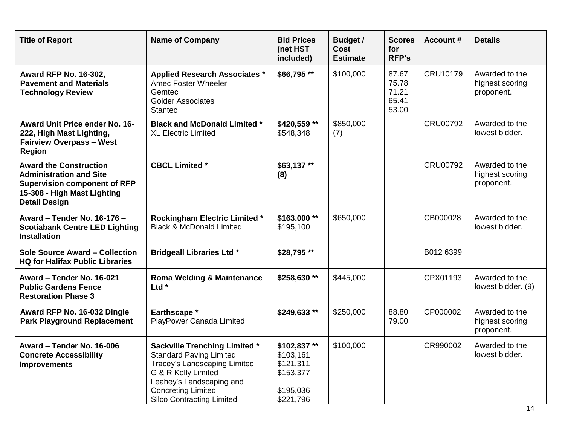| <b>Title of Report</b>                                                                                                                                        | <b>Name of Company</b>                                                                                                                                                                                                     | <b>Bid Prices</b><br>(net HST<br>included)                                   | Budget /<br><b>Cost</b><br><b>Estimate</b> | <b>Scores</b><br>for<br><b>RFP's</b>      | <b>Account #</b> | <b>Details</b>                                  |
|---------------------------------------------------------------------------------------------------------------------------------------------------------------|----------------------------------------------------------------------------------------------------------------------------------------------------------------------------------------------------------------------------|------------------------------------------------------------------------------|--------------------------------------------|-------------------------------------------|------------------|-------------------------------------------------|
| <b>Award RFP No. 16-302,</b><br><b>Pavement and Materials</b><br><b>Technology Review</b>                                                                     | <b>Applied Research Associates *</b><br>Amec Foster Wheeler<br>Gemtec<br><b>Golder Associates</b><br><b>Stantec</b>                                                                                                        | \$66,795**                                                                   | \$100,000                                  | 87.67<br>75.78<br>71.21<br>65.41<br>53.00 | CRU10179         | Awarded to the<br>highest scoring<br>proponent. |
| <b>Award Unit Price ender No. 16-</b><br>222, High Mast Lighting,<br><b>Fairview Overpass - West</b><br><b>Region</b>                                         | <b>Black and McDonald Limited *</b><br><b>XL Electric Limited</b>                                                                                                                                                          | \$420,559 **<br>\$548,348                                                    | \$850,000<br>(7)                           |                                           | <b>CRU00792</b>  | Awarded to the<br>lowest bidder.                |
| <b>Award the Construction</b><br><b>Administration and Site</b><br><b>Supervision component of RFP</b><br>15-308 - High Mast Lighting<br><b>Detail Design</b> | <b>CBCL Limited *</b>                                                                                                                                                                                                      | \$63,137**<br>(8)                                                            |                                            |                                           | <b>CRU00792</b>  | Awarded to the<br>highest scoring<br>proponent. |
| Award - Tender No. 16-176 -<br><b>Scotiabank Centre LED Lighting</b><br><b>Installation</b>                                                                   | <b>Rockingham Electric Limited *</b><br><b>Black &amp; McDonald Limited</b>                                                                                                                                                | \$163,000**<br>\$195,100                                                     | \$650,000                                  |                                           | CB000028         | Awarded to the<br>lowest bidder.                |
| <b>Sole Source Award - Collection</b><br><b>HQ for Halifax Public Libraries</b>                                                                               | <b>Bridgeall Libraries Ltd *</b>                                                                                                                                                                                           | \$28,795 **                                                                  |                                            |                                           | B012 6399        |                                                 |
| Award - Tender No. 16-021<br><b>Public Gardens Fence</b><br><b>Restoration Phase 3</b>                                                                        | <b>Roma Welding &amp; Maintenance</b><br>Ltd <sup>*</sup>                                                                                                                                                                  | \$258,630**                                                                  | \$445,000                                  |                                           | CPX01193         | Awarded to the<br>lowest bidder. (9)            |
| Award RFP No. 16-032 Dingle<br><b>Park Playground Replacement</b>                                                                                             | Earthscape *<br>PlayPower Canada Limited                                                                                                                                                                                   | \$249,633**                                                                  | \$250,000                                  | 88.80<br>79.00                            | CP000002         | Awarded to the<br>highest scoring<br>proponent. |
| Award – Tender No. 16-006<br><b>Concrete Accessibility</b><br><b>Improvements</b>                                                                             | <b>Sackville Trenching Limited *</b><br><b>Standard Paving Limited</b><br>Tracey's Landscaping Limited<br>G & R Kelly Limited<br>Leahey's Landscaping and<br><b>Concreting Limited</b><br><b>Silco Contracting Limited</b> | \$102,837**<br>\$103,161<br>\$121,311<br>\$153,377<br>\$195,036<br>\$221,796 | \$100,000                                  |                                           | CR990002         | Awarded to the<br>lowest bidder.                |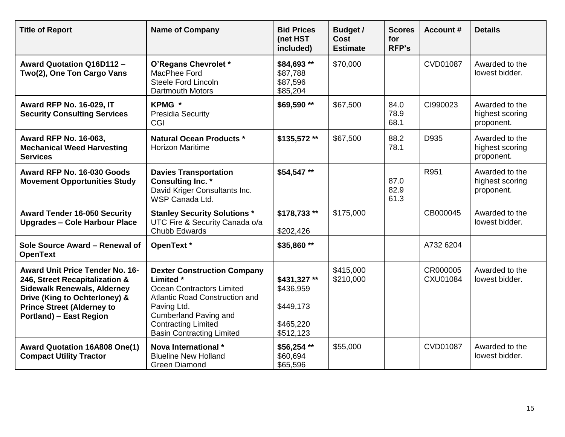| <b>Title of Report</b>                                                                                                                                                                                                 | <b>Name of Company</b>                                                                                                                                                                                                                        | <b>Bid Prices</b><br>(net HST<br>included)                       | <b>Budget /</b><br><b>Cost</b><br><b>Estimate</b> | <b>Scores</b><br>for<br><b>RFP's</b> | <b>Account #</b>            | <b>Details</b>                                  |
|------------------------------------------------------------------------------------------------------------------------------------------------------------------------------------------------------------------------|-----------------------------------------------------------------------------------------------------------------------------------------------------------------------------------------------------------------------------------------------|------------------------------------------------------------------|---------------------------------------------------|--------------------------------------|-----------------------------|-------------------------------------------------|
| <b>Award Quotation Q16D112-</b><br>Two(2), One Ton Cargo Vans                                                                                                                                                          | O'Regans Chevrolet *<br>MacPhee Ford<br>Steele Ford Lincoln<br><b>Dartmouth Motors</b>                                                                                                                                                        | \$84,693 **<br>\$87,788<br>\$87,596<br>\$85,204                  | \$70,000                                          |                                      | <b>CVD01087</b>             | Awarded to the<br>lowest bidder.                |
| <b>Award RFP No. 16-029, IT</b><br><b>Security Consulting Services</b>                                                                                                                                                 | KPMG *<br><b>Presidia Security</b><br>CGI                                                                                                                                                                                                     | \$69,590 **                                                      | \$67,500                                          | 84.0<br>78.9<br>68.1                 | CI990023                    | Awarded to the<br>highest scoring<br>proponent. |
| Award RFP No. 16-063,<br><b>Mechanical Weed Harvesting</b><br><b>Services</b>                                                                                                                                          | <b>Natural Ocean Products *</b><br><b>Horizon Maritime</b>                                                                                                                                                                                    | \$135,572**                                                      | \$67,500                                          | 88.2<br>78.1                         | D935                        | Awarded to the<br>highest scoring<br>proponent. |
| Award RFP No. 16-030 Goods<br><b>Movement Opportunities Study</b>                                                                                                                                                      | <b>Davies Transportation</b><br><b>Consulting Inc. *</b><br>David Kriger Consultants Inc.<br>WSP Canada Ltd.                                                                                                                                  | \$54,547**                                                       |                                                   | 87.0<br>82.9<br>61.3                 | R951                        | Awarded to the<br>highest scoring<br>proponent. |
| <b>Award Tender 16-050 Security</b><br><b>Upgrades - Cole Harbour Place</b>                                                                                                                                            | <b>Stanley Security Solutions *</b><br>UTC Fire & Security Canada o/a<br>Chubb Edwards                                                                                                                                                        | \$178,733**<br>\$202,426                                         | \$175,000                                         |                                      | CB000045                    | Awarded to the<br>lowest bidder.                |
| Sole Source Award - Renewal of<br><b>OpenText</b>                                                                                                                                                                      | OpenText *                                                                                                                                                                                                                                    | \$35,860**                                                       |                                                   |                                      | A732 6204                   |                                                 |
| <b>Award Unit Price Tender No. 16-</b><br>246, Street Recapitalization &<br><b>Sidewalk Renewals, Alderney</b><br>Drive (King to Ochterloney) &<br><b>Prince Street (Alderney to</b><br><b>Portland) - East Region</b> | <b>Dexter Construction Company</b><br>Limited *<br><b>Ocean Contractors Limited</b><br><b>Atlantic Road Construction and</b><br>Paving Ltd.<br><b>Cumberland Paving and</b><br><b>Contracting Limited</b><br><b>Basin Contracting Limited</b> | \$431,327 **<br>\$436,959<br>\$449,173<br>\$465,220<br>\$512,123 | \$415,000<br>\$210,000                            |                                      | CR000005<br><b>CXU01084</b> | Awarded to the<br>lowest bidder.                |
| <b>Award Quotation 16A808 One(1)</b><br><b>Compact Utility Tractor</b>                                                                                                                                                 | Nova International *<br><b>Blueline New Holland</b><br><b>Green Diamond</b>                                                                                                                                                                   | \$56,254**<br>\$60,694<br>\$65,596                               | \$55,000                                          |                                      | <b>CVD01087</b>             | Awarded to the<br>lowest bidder.                |